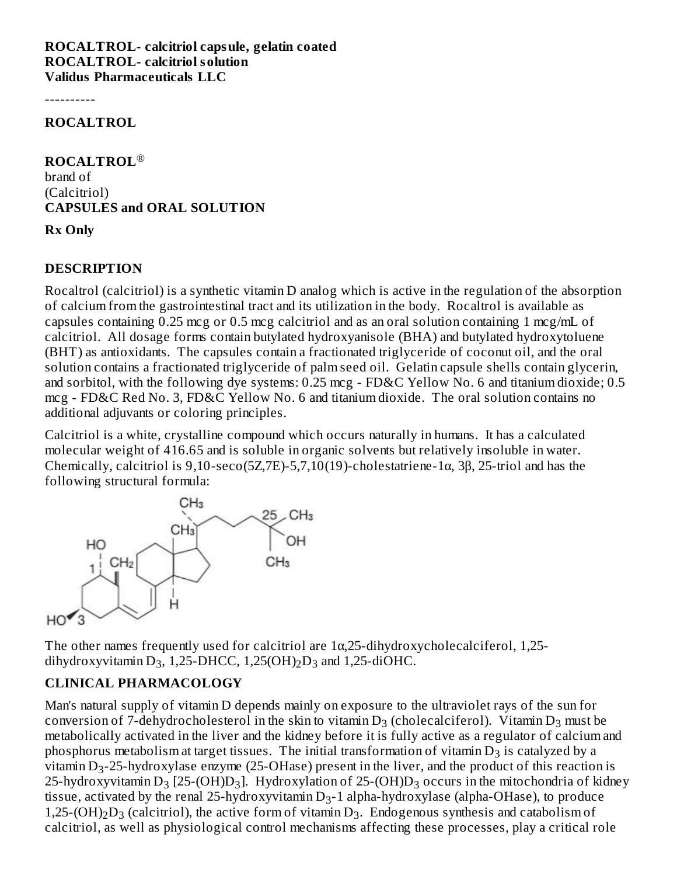**ROCALTROL- calcitriol capsule, gelatin coated ROCALTROL- calcitriol solution Validus Pharmaceuticals LLC**

----------

**ROCALTROL**

**ROCALTROL** ® brand of (Calcitriol) **CAPSULES and ORAL SOLUTION**

#### **Rx Only**

#### **DESCRIPTION**

Rocaltrol (calcitriol) is a synthetic vitamin D analog which is active in the regulation of the absorption of calcium from the gastrointestinal tract and its utilization in the body. Rocaltrol is available as capsules containing 0.25 mcg or 0.5 mcg calcitriol and as an oral solution containing 1 mcg/mL of calcitriol. All dosage forms contain butylated hydroxyanisole (BHA) and butylated hydroxytoluene (BHT) as antioxidants. The capsules contain a fractionated triglyceride of coconut oil, and the oral solution contains a fractionated triglyceride of palm seed oil. Gelatin capsule shells contain glycerin, and sorbitol, with the following dye systems: 0.25 mcg - FD&C Yellow No. 6 and titanium dioxide; 0.5 mcg - FD&C Red No. 3, FD&C Yellow No. 6 and titanium dioxide. The oral solution contains no additional adjuvants or coloring principles.

Calcitriol is a white, crystalline compound which occurs naturally in humans. It has a calculated molecular weight of 416.65 and is soluble in organic solvents but relatively insoluble in water. Chemically, calcitriol is  $9,10$ -seco(5Z,7E)-5,7,10(19)-cholestatriene-1 $\alpha$ , 3 $\beta$ , 25-triol and has the following structural formula:



The other names frequently used for calcitriol are  $1\alpha$ , 25-dihydroxycholecalciferol, 1,25dihydroxyvitamin  $D_3$ , 1,25-DHCC, 1,25(OH)<sub>2</sub> $D_3$  and 1,25-diOHC.

#### **CLINICAL PHARMACOLOGY**

Man's natural supply of vitamin D depends mainly on exposure to the ultraviolet rays of the sun for conversion of 7-dehydrocholesterol in the skin to vitamin  $\mathsf{D}_3$  (cholecalciferol). Vitamin  $\mathsf{D}_3$  must be metabolically activated in the liver and the kidney before it is fully active as a regulator of calcium and phosphorus metabolism at target tissues. The initial transformation of vitamin  $\mathrm{D}_3$  is catalyzed by a vitamin  $D_3$ -25-hydroxylase enzyme (25-OHase) present in the liver, and the product of this reaction is 25-hydroxyvitamin D $_3$  [25-(OH)D $_3$ ]. Hydroxylation of 25-(OH)D $_3$  occurs in the mitochondria of kidney tissue, activated by the renal 25-hydroxyvitamin D<sub>3</sub>-1 alpha-hydroxylase (alpha-OHase), to produce 1,25-(OH)<sub>2</sub>D<sub>3</sub> (calcitriol), the active form of vitamin D<sub>3</sub>. Endogenous synthesis and catabolism of calcitriol, as well as physiological control mechanisms affecting these processes, play a critical role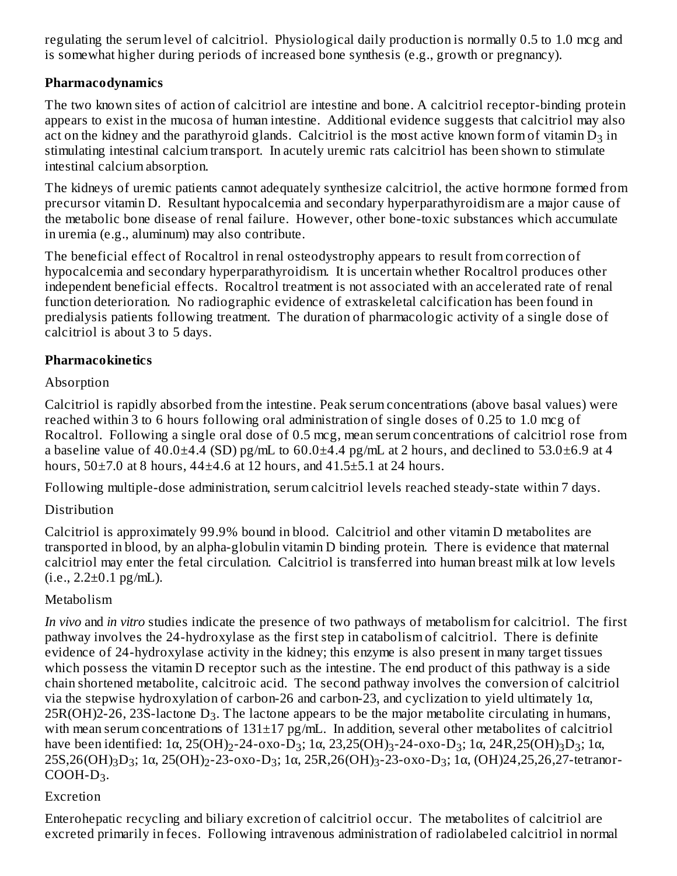regulating the serum level of calcitriol. Physiological daily production is normally 0.5 to 1.0 mcg and is somewhat higher during periods of increased bone synthesis (e.g., growth or pregnancy).

#### **Pharmacodynamics**

The two known sites of action of calcitriol are intestine and bone. A calcitriol receptor-binding protein appears to exist in the mucosa of human intestine. Additional evidence suggests that calcitriol may also act on the kidney and the parathyroid glands. Calcitriol is the most active known form of vitamin  $\mathrm{D}_3$  in stimulating intestinal calcium transport. In acutely uremic rats calcitriol has been shown to stimulate intestinal calcium absorption.

The kidneys of uremic patients cannot adequately synthesize calcitriol, the active hormone formed from precursor vitamin D. Resultant hypocalcemia and secondary hyperparathyroidism are a major cause of the metabolic bone disease of renal failure. However, other bone-toxic substances which accumulate in uremia (e.g., aluminum) may also contribute.

The beneficial effect of Rocaltrol in renal osteodystrophy appears to result from correction of hypocalcemia and secondary hyperparathyroidism. It is uncertain whether Rocaltrol produces other independent beneficial effects. Rocaltrol treatment is not associated with an accelerated rate of renal function deterioration. No radiographic evidence of extraskeletal calcification has been found in predialysis patients following treatment. The duration of pharmacologic activity of a single dose of calcitriol is about 3 to 5 days.

#### **Pharmacokinetics**

#### Absorption

Calcitriol is rapidly absorbed from the intestine. Peak serum concentrations (above basal values) were reached within 3 to 6 hours following oral administration of single doses of 0.25 to 1.0 mcg of Rocaltrol. Following a single oral dose of 0.5 mcg, mean serum concentrations of calcitriol rose from a baseline value of  $40.0\pm4.4$  (SD) pg/mL to  $60.0\pm4.4$  pg/mL at 2 hours, and declined to 53.0 $\pm6.9$  at 4 hours,  $50\pm7.0$  at 8 hours,  $44\pm4.6$  at 12 hours, and  $41.5\pm5.1$  at 24 hours.

Following multiple-dose administration, serum calcitriol levels reached steady-state within 7 days.

### Distribution

Calcitriol is approximately 99.9% bound in blood. Calcitriol and other vitamin D metabolites are transported in blood, by an alpha-globulin vitamin D binding protein. There is evidence that maternal calcitriol may enter the fetal circulation. Calcitriol is transferred into human breast milk at low levels  $(i.e., 2.2 \pm 0.1 \text{ pg/mL}).$ 

### Metabolism

*In vivo* and *in vitro* studies indicate the presence of two pathways of metabolism for calcitriol. The first pathway involves the 24-hydroxylase as the first step in catabolism of calcitriol. There is definite evidence of 24-hydroxylase activity in the kidney; this enzyme is also present in many target tissues which possess the vitamin D receptor such as the intestine. The end product of this pathway is a side chain shortened metabolite, calcitroic acid. The second pathway involves the conversion of calcitriol via the stepwise hydroxylation of carbon-26 and carbon-23, and cyclization to yield ultimately 1α,  $25R(OH)$ 2-26, 23S-lactone  $D_3$ . The lactone appears to be the major metabolite circulating in humans, with mean serum concentrations of 131±17 pg/mL. In addition, several other metabolites of calcitriol have been identified: 1α, 25(OH)<sub>2</sub>-24-oxo-D<sub>3</sub>; 1α, 23,25(OH)<sub>3</sub>-24-oxo-D<sub>3</sub>; 1α, 24R,25(OH)<sub>3</sub>D<sub>3</sub>; 1α, 25S,26(OH)3D3; 1α, 25(OH)2-23-oxo-D3; 1α, 25R,26(OH)3-23-oxo-D3; 1α, (OH)24,25,26,27-tetranor- $COOH-D<sub>3</sub>$ .

### Excretion

Enterohepatic recycling and biliary excretion of calcitriol occur. The metabolites of calcitriol are excreted primarily in feces. Following intravenous administration of radiolabeled calcitriol in normal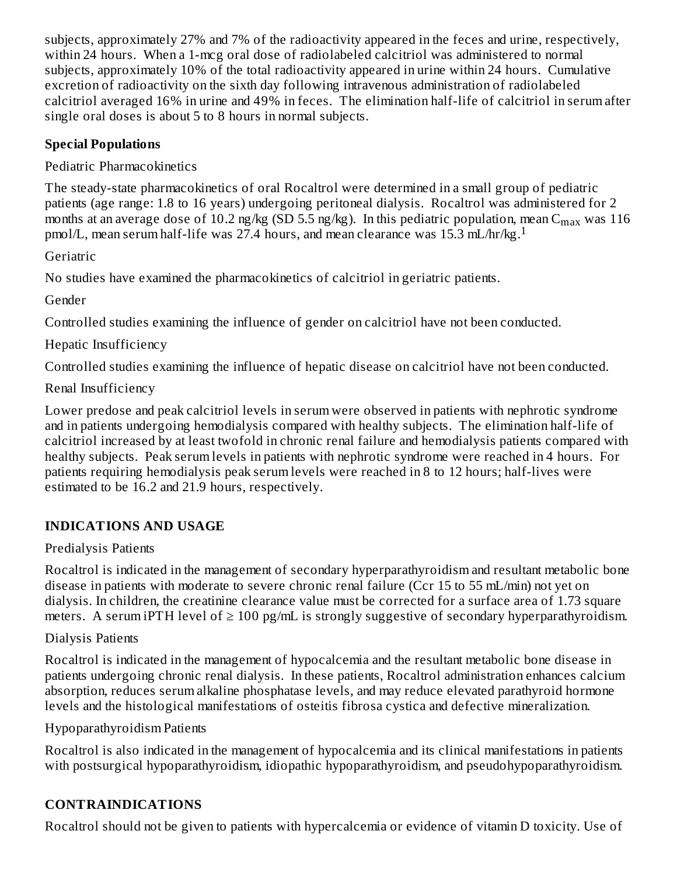subjects, approximately 27% and 7% of the radioactivity appeared in the feces and urine, respectively, within 24 hours. When a 1-mcg oral dose of radiolabeled calcitriol was administered to normal subjects, approximately 10% of the total radioactivity appeared in urine within 24 hours. Cumulative excretion of radioactivity on the sixth day following intravenous administration of radiolabeled calcitriol averaged 16% in urine and 49% in feces. The elimination half-life of calcitriol in serum after single oral doses is about 5 to 8 hours in normal subjects.

### **Special Populations**

Pediatric Pharmacokinetics

The steady-state pharmacokinetics of oral Rocaltrol were determined in a small group of pediatric patients (age range: 1.8 to 16 years) undergoing peritoneal dialysis. Rocaltrol was administered for 2 months at an average dose of 10.2 ng/kg (SD 5.5 ng/kg). In this pediatric population, mean  $\rm{C_{max}}$  was  $\rm{116}$ pmol/L, mean serum half-life was 27.4 hours, and mean clearance was 15.3 mL/hr/kg. 1

**Geriatric** 

No studies have examined the pharmacokinetics of calcitriol in geriatric patients.

Gender

Controlled studies examining the influence of gender on calcitriol have not been conducted.

Hepatic Insufficiency

Controlled studies examining the influence of hepatic disease on calcitriol have not been conducted.

Renal Insufficiency

Lower predose and peak calcitriol levels in serum were observed in patients with nephrotic syndrome and in patients undergoing hemodialysis compared with healthy subjects. The elimination half-life of calcitriol increased by at least twofold in chronic renal failure and hemodialysis patients compared with healthy subjects. Peak serum levels in patients with nephrotic syndrome were reached in 4 hours. For patients requiring hemodialysis peak serum levels were reached in 8 to 12 hours; half-lives were estimated to be 16.2 and 21.9 hours, respectively.

# **INDICATIONS AND USAGE**

Predialysis Patients

Rocaltrol is indicated in the management of secondary hyperparathyroidism and resultant metabolic bone disease in patients with moderate to severe chronic renal failure (Ccr 15 to 55 mL/min) not yet on dialysis. In children, the creatinine clearance value must be corrected for a surface area of 1.73 square meters. A serum iPTH level of  $\geq 100$  pg/mL is strongly suggestive of secondary hyperparathyroidism.

Dialysis Patients

Rocaltrol is indicated in the management of hypocalcemia and the resultant metabolic bone disease in patients undergoing chronic renal dialysis. In these patients, Rocaltrol administration enhances calcium absorption, reduces serum alkaline phosphatase levels, and may reduce elevated parathyroid hormone levels and the histological manifestations of osteitis fibrosa cystica and defective mineralization.

Hypoparathyroidism Patients

Rocaltrol is also indicated in the management of hypocalcemia and its clinical manifestations in patients with postsurgical hypoparathyroidism, idiopathic hypoparathyroidism, and pseudohypoparathyroidism.

# **CONTRAINDICATIONS**

Rocaltrol should not be given to patients with hypercalcemia or evidence of vitamin D toxicity. Use of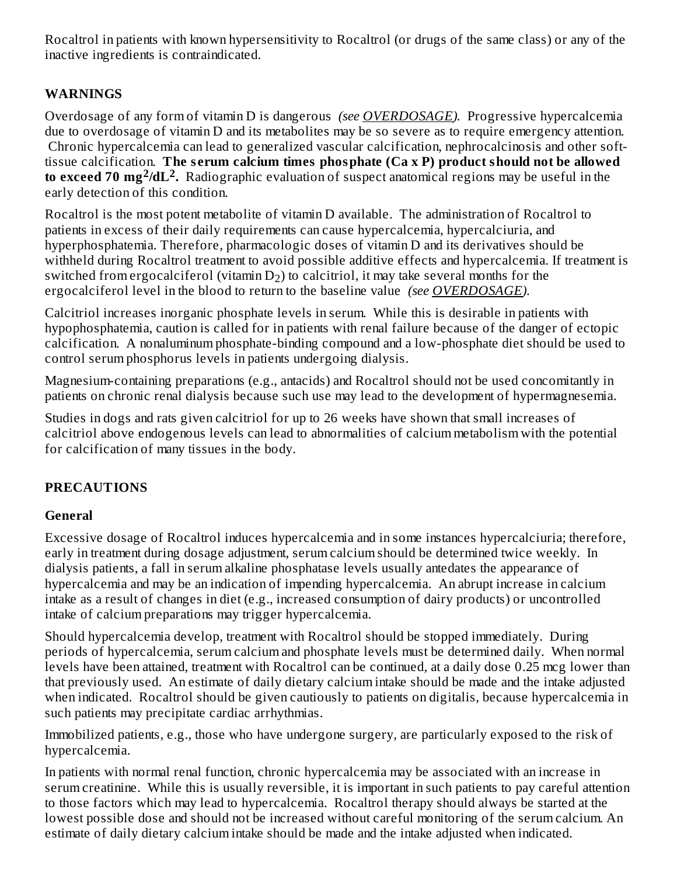Rocaltrol in patients with known hypersensitivity to Rocaltrol (or drugs of the same class) or any of the inactive ingredients is contraindicated.

## **WARNINGS**

Overdosage of any form of vitamin D is dangerous *(see OVERDOSAGE).* Progressive hypercalcemia due to overdosage of vitamin D and its metabolites may be so severe as to require emergency attention. Chronic hypercalcemia can lead to generalized vascular calcification, nephrocalcinosis and other softtissue calcification. **The s erum calcium times phosphate (Ca x P) product should not be allowed to exceed 70 mg /dL .** Radiographic evaluation of suspect anatomical regions may be useful in the **2 2** early detection of this condition.

Rocaltrol is the most potent metabolite of vitamin D available. The administration of Rocaltrol to patients in excess of their daily requirements can cause hypercalcemia, hypercalciuria, and hyperphosphatemia. Therefore, pharmacologic doses of vitamin D and its derivatives should be withheld during Rocaltrol treatment to avoid possible additive effects and hypercalcemia. If treatment is switched from ergocalciferol (vitamin  $\mathrm{D}_2$ ) to calcitriol, it may take several months for the ergocalciferol level in the blood to return to the baseline value *(see OVERDOSAGE).*

Calcitriol increases inorganic phosphate levels in serum. While this is desirable in patients with hypophosphatemia, caution is called for in patients with renal failure because of the danger of ectopic calcification. A nonaluminum phosphate-binding compound and a low-phosphate diet should be used to control serum phosphorus levels in patients undergoing dialysis.

Magnesium-containing preparations (e.g., antacids) and Rocaltrol should not be used concomitantly in patients on chronic renal dialysis because such use may lead to the development of hypermagnesemia.

Studies in dogs and rats given calcitriol for up to 26 weeks have shown that small increases of calcitriol above endogenous levels can lead to abnormalities of calcium metabolism with the potential for calcification of many tissues in the body.

### **PRECAUTIONS**

#### **General**

Excessive dosage of Rocaltrol induces hypercalcemia and in some instances hypercalciuria; therefore, early in treatment during dosage adjustment, serum calcium should be determined twice weekly. In dialysis patients, a fall in serum alkaline phosphatase levels usually antedates the appearance of hypercalcemia and may be an indication of impending hypercalcemia. An abrupt increase in calcium intake as a result of changes in diet (e.g., increased consumption of dairy products) or uncontrolled intake of calcium preparations may trigger hypercalcemia.

Should hypercalcemia develop, treatment with Rocaltrol should be stopped immediately. During periods of hypercalcemia, serum calcium and phosphate levels must be determined daily. When normal levels have been attained, treatment with Rocaltrol can be continued, at a daily dose 0.25 mcg lower than that previously used. An estimate of daily dietary calcium intake should be made and the intake adjusted when indicated. Rocaltrol should be given cautiously to patients on digitalis, because hypercalcemia in such patients may precipitate cardiac arrhythmias.

Immobilized patients, e.g., those who have undergone surgery, are particularly exposed to the risk of hypercalcemia.

In patients with normal renal function, chronic hypercalcemia may be associated with an increase in serum creatinine. While this is usually reversible, it is important in such patients to pay careful attention to those factors which may lead to hypercalcemia. Rocaltrol therapy should always be started at the lowest possible dose and should not be increased without careful monitoring of the serum calcium. An estimate of daily dietary calcium intake should be made and the intake adjusted when indicated.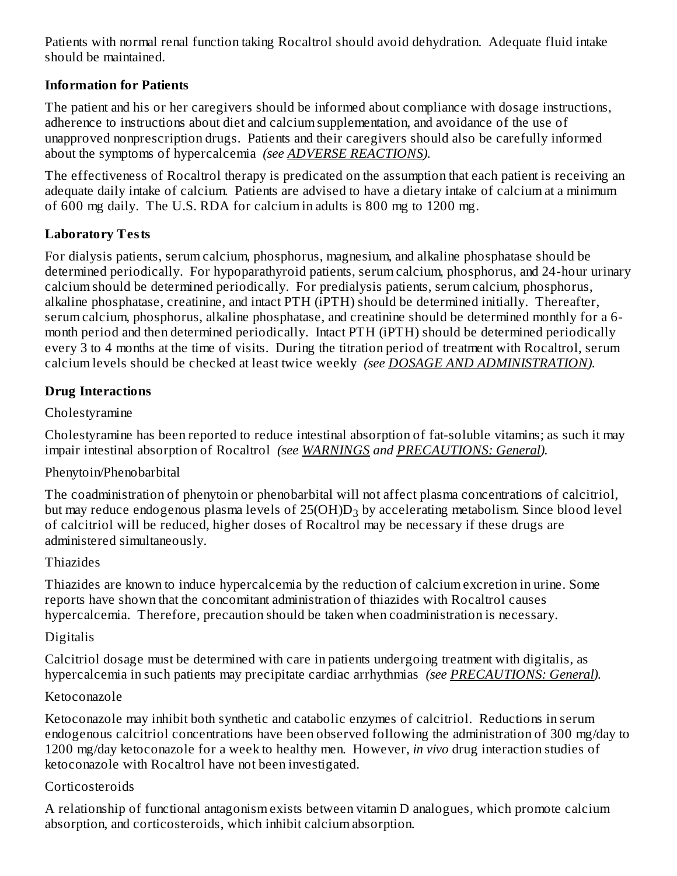Patients with normal renal function taking Rocaltrol should avoid dehydration. Adequate fluid intake should be maintained.

#### **Information for Patients**

The patient and his or her caregivers should be informed about compliance with dosage instructions, adherence to instructions about diet and calcium supplementation, and avoidance of the use of unapproved nonprescription drugs. Patients and their caregivers should also be carefully informed about the symptoms of hypercalcemia *(see ADVERSE REACTIONS).*

The effectiveness of Rocaltrol therapy is predicated on the assumption that each patient is receiving an adequate daily intake of calcium. Patients are advised to have a dietary intake of calcium at a minimum of 600 mg daily. The U.S. RDA for calcium in adults is 800 mg to 1200 mg.

#### **Laboratory Tests**

For dialysis patients, serum calcium, phosphorus, magnesium, and alkaline phosphatase should be determined periodically. For hypoparathyroid patients, serum calcium, phosphorus, and 24-hour urinary calcium should be determined periodically. For predialysis patients, serum calcium, phosphorus, alkaline phosphatase, creatinine, and intact PTH (iPTH) should be determined initially. Thereafter, serum calcium, phosphorus, alkaline phosphatase, and creatinine should be determined monthly for a 6 month period and then determined periodically. Intact PTH (iPTH) should be determined periodically every 3 to 4 months at the time of visits. During the titration period of treatment with Rocaltrol, serum calcium levels should be checked at least twice weekly *(see DOSAGE AND ADMINISTRATION).*

#### **Drug Interactions**

### Cholestyramine

Cholestyramine has been reported to reduce intestinal absorption of fat-soluble vitamins; as such it may impair intestinal absorption of Rocaltrol *(see WARNINGS and PRECAUTIONS: General).*

### Phenytoin/Phenobarbital

The coadministration of phenytoin or phenobarbital will not affect plasma concentrations of calcitriol, but may reduce endogenous plasma levels of 25(OH)D $_3$  by accelerating metabolism. Since blood level of calcitriol will be reduced, higher doses of Rocaltrol may be necessary if these drugs are administered simultaneously.

#### Thiazides

Thiazides are known to induce hypercalcemia by the reduction of calcium excretion in urine. Some reports have shown that the concomitant administration of thiazides with Rocaltrol causes hypercalcemia. Therefore, precaution should be taken when coadministration is necessary.

### Digitalis

Calcitriol dosage must be determined with care in patients undergoing treatment with digitalis, as hypercalcemia in such patients may precipitate cardiac arrhythmias *(see PRECAUTIONS: General).*

#### Ketoconazole

Ketoconazole may inhibit both synthetic and catabolic enzymes of calcitriol. Reductions in serum endogenous calcitriol concentrations have been observed following the administration of 300 mg/day to 1200 mg/day ketoconazole for a week to healthy men. However, *in vivo* drug interaction studies of ketoconazole with Rocaltrol have not been investigated.

#### Corticosteroids

A relationship of functional antagonism exists between vitamin D analogues, which promote calcium absorption, and corticosteroids, which inhibit calcium absorption.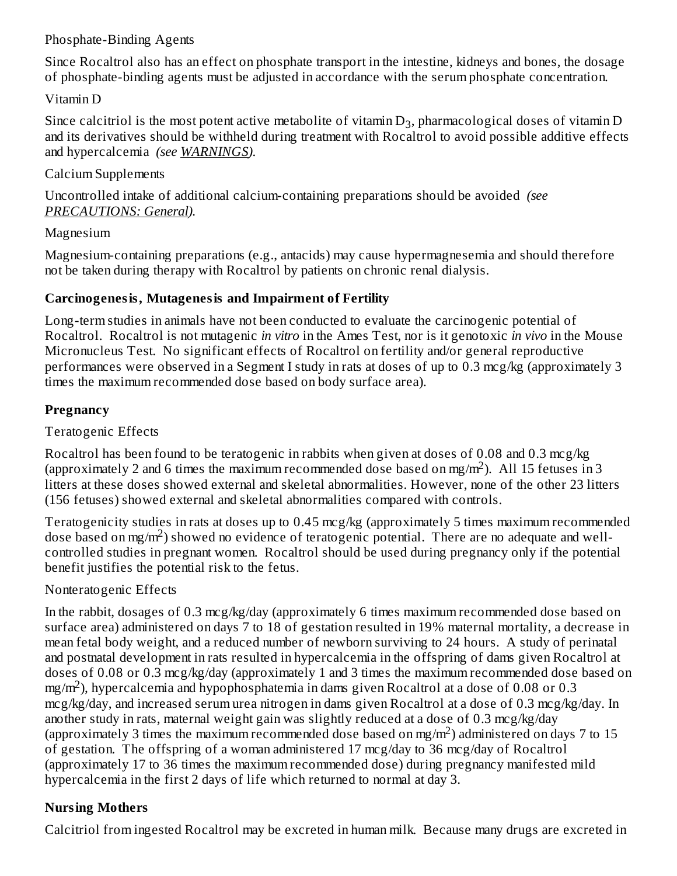#### Phosphate-Binding Agents

Since Rocaltrol also has an effect on phosphate transport in the intestine, kidneys and bones, the dosage of phosphate-binding agents must be adjusted in accordance with the serum phosphate concentration.

#### Vitamin D

Since calcitriol is the most potent active metabolite of vitamin  $D_3$ , pharmacological doses of vitamin D and its derivatives should be withheld during treatment with Rocaltrol to avoid possible additive effects and hypercalcemia *(see WARNINGS).*

#### Calcium Supplements

Uncontrolled intake of additional calcium-containing preparations should be avoided *(see PRECAUTIONS: General).*

#### Magnesium

Magnesium-containing preparations (e.g., antacids) may cause hypermagnesemia and should therefore not be taken during therapy with Rocaltrol by patients on chronic renal dialysis.

### **Carcinogenesis, Mutagenesis and Impairment of Fertility**

Long-term studies in animals have not been conducted to evaluate the carcinogenic potential of Rocaltrol. Rocaltrol is not mutagenic *in vitro* in the Ames Test, nor is it genotoxic *in vivo* in the Mouse Micronucleus Test. No significant effects of Rocaltrol on fertility and/or general reproductive performances were observed in a Segment I study in rats at doses of up to 0.3 mcg/kg (approximately 3 times the maximum recommended dose based on body surface area).

### **Pregnancy**

### Teratogenic Effects

Rocaltrol has been found to be teratogenic in rabbits when given at doses of 0.08 and 0.3 mcg/kg (approximately 2 and 6 times the maximum recommended dose based on mg/m<sup>2</sup>). All 15 fetuses in 3 litters at these doses showed external and skeletal abnormalities. However, none of the other 23 litters (156 fetuses) showed external and skeletal abnormalities compared with controls.

Teratogenicity studies in rats at doses up to 0.45 mcg/kg (approximately 5 times maximum recommended dose based on mg/m<sup>2</sup>) showed no evidence of teratogenic potential. There are no adequate and wellcontrolled studies in pregnant women. Rocaltrol should be used during pregnancy only if the potential benefit justifies the potential risk to the fetus.

### Nonteratogenic Effects

In the rabbit, dosages of 0.3 mcg/kg/day (approximately 6 times maximum recommended dose based on surface area) administered on days 7 to 18 of gestation resulted in 19% maternal mortality, a decrease in mean fetal body weight, and a reduced number of newborn surviving to 24 hours. A study of perinatal and postnatal development in rats resulted in hypercalcemia in the offspring of dams given Rocaltrol at doses of 0.08 or 0.3 mcg/kg/day (approximately 1 and 3 times the maximum recommended dose based on  $mg/m<sup>2</sup>$ ), hypercalcemia and hypophosphatemia in dams given Rocaltrol at a dose of 0.08 or 0.3 mcg/kg/day, and increased serum urea nitrogen in dams given Rocaltrol at a dose of 0.3 mcg/kg/day. In another study in rats, maternal weight gain was slightly reduced at a dose of 0.3 mcg/kg/day (approximately 3 times the maximum recommended dose based on mg/m<sup>2</sup>) administered on days 7 to 15 of gestation. The offspring of a woman administered 17 mcg/day to 36 mcg/day of Rocaltrol (approximately 17 to 36 times the maximum recommended dose) during pregnancy manifested mild hypercalcemia in the first 2 days of life which returned to normal at day 3.

# **Nursing Mothers**

Calcitriol from ingested Rocaltrol may be excreted in human milk. Because many drugs are excreted in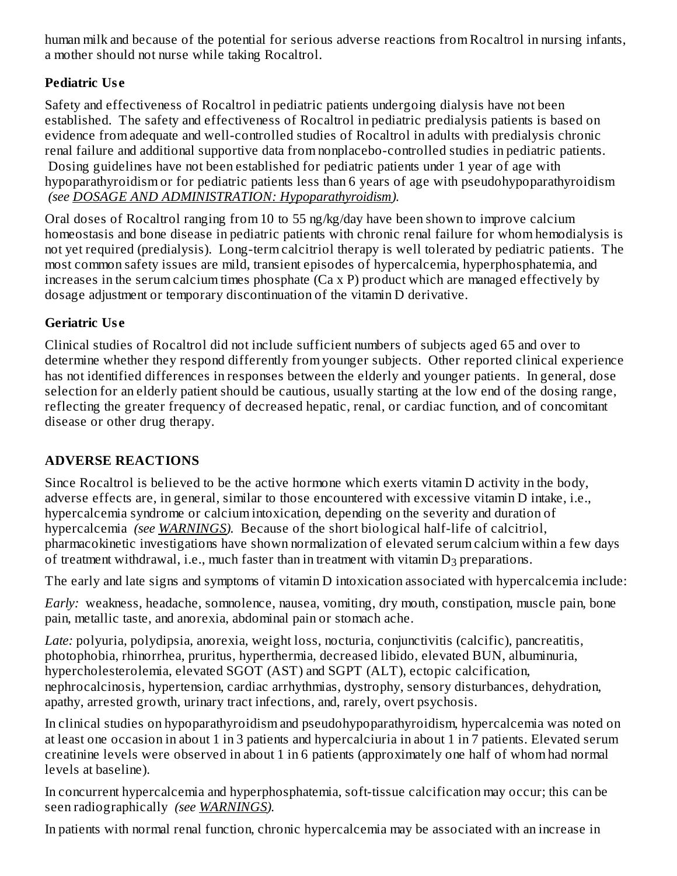human milk and because of the potential for serious adverse reactions from Rocaltrol in nursing infants, a mother should not nurse while taking Rocaltrol.

# **Pediatric Us e**

Safety and effectiveness of Rocaltrol in pediatric patients undergoing dialysis have not been established. The safety and effectiveness of Rocaltrol in pediatric predialysis patients is based on evidence from adequate and well-controlled studies of Rocaltrol in adults with predialysis chronic renal failure and additional supportive data from nonplacebo-controlled studies in pediatric patients. Dosing guidelines have not been established for pediatric patients under 1 year of age with hypoparathyroidism or for pediatric patients less than 6 years of age with pseudohypoparathyroidism *(see DOSAGE AND ADMINISTRATION: Hypoparathyroidism).*

Oral doses of Rocaltrol ranging from 10 to 55 ng/kg/day have been shown to improve calcium homeostasis and bone disease in pediatric patients with chronic renal failure for whom hemodialysis is not yet required (predialysis). Long-term calcitriol therapy is well tolerated by pediatric patients. The most common safety issues are mild, transient episodes of hypercalcemia, hyperphosphatemia, and increases in the serum calcium times phosphate (Ca x P) product which are managed effectively by dosage adjustment or temporary discontinuation of the vitamin D derivative.

### **Geriatric Us e**

Clinical studies of Rocaltrol did not include sufficient numbers of subjects aged 65 and over to determine whether they respond differently from younger subjects. Other reported clinical experience has not identified differences in responses between the elderly and younger patients. In general, dose selection for an elderly patient should be cautious, usually starting at the low end of the dosing range, reflecting the greater frequency of decreased hepatic, renal, or cardiac function, and of concomitant disease or other drug therapy.

# **ADVERSE REACTIONS**

Since Rocaltrol is believed to be the active hormone which exerts vitamin D activity in the body, adverse effects are, in general, similar to those encountered with excessive vitamin D intake, i.e., hypercalcemia syndrome or calcium intoxication, depending on the severity and duration of hypercalcemia *(see WARNINGS).* Because of the short biological half-life of calcitriol, pharmacokinetic investigations have shown normalization of elevated serum calcium within a few days of treatment withdrawal, i.e., much faster than in treatment with vitamin  $D_3$  preparations.

The early and late signs and symptoms of vitamin D intoxication associated with hypercalcemia include:

*Early:* weakness, headache, somnolence, nausea, vomiting, dry mouth, constipation, muscle pain, bone pain, metallic taste, and anorexia, abdominal pain or stomach ache.

*Late:* polyuria, polydipsia, anorexia, weight loss, nocturia, conjunctivitis (calcific), pancreatitis, photophobia, rhinorrhea, pruritus, hyperthermia, decreased libido, elevated BUN, albuminuria, hypercholesterolemia, elevated SGOT (AST) and SGPT (ALT), ectopic calcification, nephrocalcinosis, hypertension, cardiac arrhythmias, dystrophy, sensory disturbances, dehydration, apathy, arrested growth, urinary tract infections, and, rarely, overt psychosis.

In clinical studies on hypoparathyroidism and pseudohypoparathyroidism, hypercalcemia was noted on at least one occasion in about 1 in 3 patients and hypercalciuria in about 1 in 7 patients. Elevated serum creatinine levels were observed in about 1 in 6 patients (approximately one half of whom had normal levels at baseline).

In concurrent hypercalcemia and hyperphosphatemia, soft-tissue calcification may occur; this can be seen radiographically *(see WARNINGS).*

In patients with normal renal function, chronic hypercalcemia may be associated with an increase in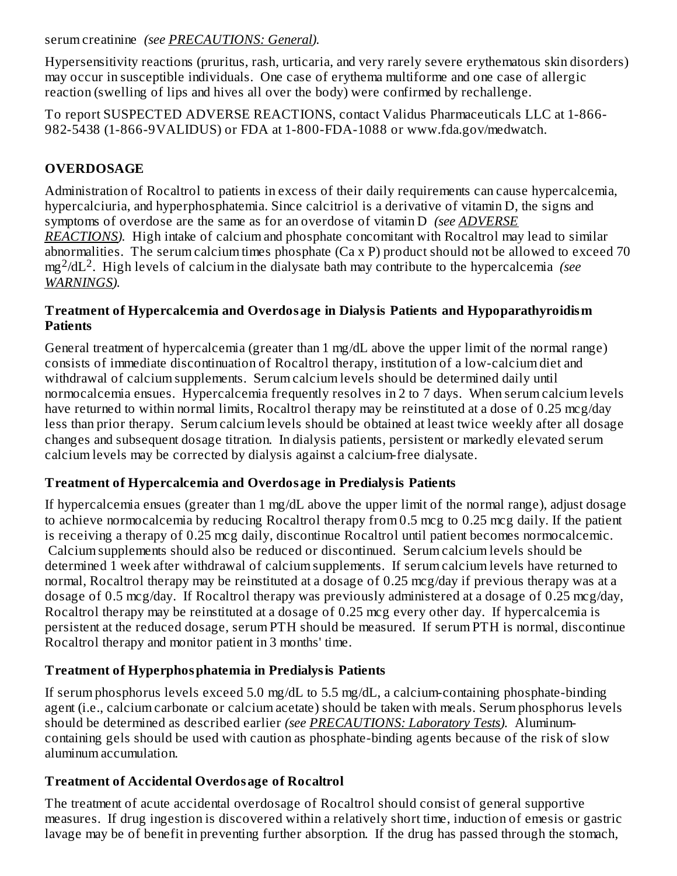serum creatinine *(see PRECAUTIONS: General).*

Hypersensitivity reactions (pruritus, rash, urticaria, and very rarely severe erythematous skin disorders) may occur in susceptible individuals. One case of erythema multiforme and one case of allergic reaction (swelling of lips and hives all over the body) were confirmed by rechallenge.

To report SUSPECTED ADVERSE REACTIONS, contact Validus Pharmaceuticals LLC at 1-866- 982-5438 (1-866-9VALIDUS) or FDA at 1-800-FDA-1088 or www.fda.gov/medwatch.

# **OVERDOSAGE**

Administration of Rocaltrol to patients in excess of their daily requirements can cause hypercalcemia, hypercalciuria, and hyperphosphatemia. Since calcitriol is a derivative of vitamin D, the signs and symptoms of overdose are the same as for an overdose of vitamin D *(see ADVERSE REACTIONS).* High intake of calcium and phosphate concomitant with Rocaltrol may lead to similar abnormalities. The serum calcium times phosphate (Ca x P) product should not be allowed to exceed 70 mg<sup>2</sup>/dL<sup>2</sup>. High levels of calcium in the dialysate bath may contribute to the hypercalcemia *(see WARNINGS).*

#### **Treatment of Hypercalcemia and Overdosage in Dialysis Patients and Hypoparathyroidism Patients**

General treatment of hypercalcemia (greater than 1 mg/dL above the upper limit of the normal range) consists of immediate discontinuation of Rocaltrol therapy, institution of a low-calcium diet and withdrawal of calcium supplements. Serum calcium levels should be determined daily until normocalcemia ensues. Hypercalcemia frequently resolves in 2 to 7 days. When serum calcium levels have returned to within normal limits, Rocaltrol therapy may be reinstituted at a dose of 0.25 mcg/day less than prior therapy. Serum calcium levels should be obtained at least twice weekly after all dosage changes and subsequent dosage titration. In dialysis patients, persistent or markedly elevated serum calcium levels may be corrected by dialysis against a calcium-free dialysate.

# **Treatment of Hypercalcemia and Overdosage in Predialysis Patients**

If hypercalcemia ensues (greater than 1 mg/dL above the upper limit of the normal range), adjust dosage to achieve normocalcemia by reducing Rocaltrol therapy from 0.5 mcg to 0.25 mcg daily. If the patient is receiving a therapy of 0.25 mcg daily, discontinue Rocaltrol until patient becomes normocalcemic. Calcium supplements should also be reduced or discontinued. Serum calcium levels should be determined 1 week after withdrawal of calcium supplements. If serum calcium levels have returned to normal, Rocaltrol therapy may be reinstituted at a dosage of 0.25 mcg/day if previous therapy was at a dosage of 0.5 mcg/day. If Rocaltrol therapy was previously administered at a dosage of 0.25 mcg/day, Rocaltrol therapy may be reinstituted at a dosage of 0.25 mcg every other day. If hypercalcemia is persistent at the reduced dosage, serum PTH should be measured. If serum PTH is normal, discontinue Rocaltrol therapy and monitor patient in 3 months' time.

# **Treatment of Hyperphosphatemia in Predialysis Patients**

If serum phosphorus levels exceed 5.0 mg/dL to 5.5 mg/dL, a calcium-containing phosphate-binding agent (i.e., calcium carbonate or calcium acetate) should be taken with meals. Serum phosphorus levels should be determined as described earlier *(see PRECAUTIONS: Laboratory Tests).* Aluminumcontaining gels should be used with caution as phosphate-binding agents because of the risk of slow aluminum accumulation.

# **Treatment of Accidental Overdosage of Rocaltrol**

The treatment of acute accidental overdosage of Rocaltrol should consist of general supportive measures. If drug ingestion is discovered within a relatively short time, induction of emesis or gastric lavage may be of benefit in preventing further absorption. If the drug has passed through the stomach,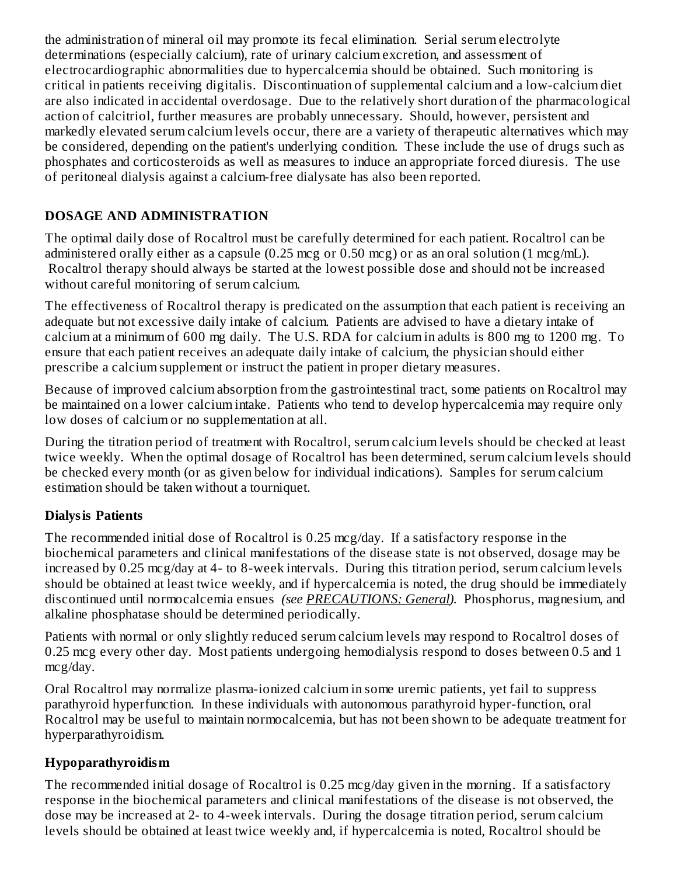the administration of mineral oil may promote its fecal elimination. Serial serum electrolyte determinations (especially calcium), rate of urinary calcium excretion, and assessment of electrocardiographic abnormalities due to hypercalcemia should be obtained. Such monitoring is critical in patients receiving digitalis. Discontinuation of supplemental calcium and a low-calcium diet are also indicated in accidental overdosage. Due to the relatively short duration of the pharmacological action of calcitriol, further measures are probably unnecessary. Should, however, persistent and markedly elevated serum calcium levels occur, there are a variety of therapeutic alternatives which may be considered, depending on the patient's underlying condition. These include the use of drugs such as phosphates and corticosteroids as well as measures to induce an appropriate forced diuresis. The use of peritoneal dialysis against a calcium-free dialysate has also been reported.

### **DOSAGE AND ADMINISTRATION**

The optimal daily dose of Rocaltrol must be carefully determined for each patient. Rocaltrol can be administered orally either as a capsule (0.25 mcg or 0.50 mcg) or as an oral solution (1 mcg/mL). Rocaltrol therapy should always be started at the lowest possible dose and should not be increased without careful monitoring of serum calcium.

The effectiveness of Rocaltrol therapy is predicated on the assumption that each patient is receiving an adequate but not excessive daily intake of calcium. Patients are advised to have a dietary intake of calcium at a minimum of 600 mg daily. The U.S. RDA for calcium in adults is 800 mg to 1200 mg. To ensure that each patient receives an adequate daily intake of calcium, the physician should either prescribe a calcium supplement or instruct the patient in proper dietary measures.

Because of improved calcium absorption from the gastrointestinal tract, some patients on Rocaltrol may be maintained on a lower calcium intake. Patients who tend to develop hypercalcemia may require only low doses of calcium or no supplementation at all.

During the titration period of treatment with Rocaltrol, serum calcium levels should be checked at least twice weekly. When the optimal dosage of Rocaltrol has been determined, serum calcium levels should be checked every month (or as given below for individual indications). Samples for serum calcium estimation should be taken without a tourniquet.

### **Dialysis Patients**

The recommended initial dose of Rocaltrol is 0.25 mcg/day. If a satisfactory response in the biochemical parameters and clinical manifestations of the disease state is not observed, dosage may be increased by 0.25 mcg/day at 4- to 8-week intervals. During this titration period, serum calcium levels should be obtained at least twice weekly, and if hypercalcemia is noted, the drug should be immediately discontinued until normocalcemia ensues *(see PRECAUTIONS: General).* Phosphorus, magnesium, and alkaline phosphatase should be determined periodically.

Patients with normal or only slightly reduced serum calcium levels may respond to Rocaltrol doses of 0.25 mcg every other day. Most patients undergoing hemodialysis respond to doses between 0.5 and 1 mcg/day.

Oral Rocaltrol may normalize plasma-ionized calcium in some uremic patients, yet fail to suppress parathyroid hyperfunction. In these individuals with autonomous parathyroid hyper-function, oral Rocaltrol may be useful to maintain normocalcemia, but has not been shown to be adequate treatment for hyperparathyroidism.

### **Hypoparathyroidism**

The recommended initial dosage of Rocaltrol is 0.25 mcg/day given in the morning. If a satisfactory response in the biochemical parameters and clinical manifestations of the disease is not observed, the dose may be increased at 2- to 4-week intervals. During the dosage titration period, serum calcium levels should be obtained at least twice weekly and, if hypercalcemia is noted, Rocaltrol should be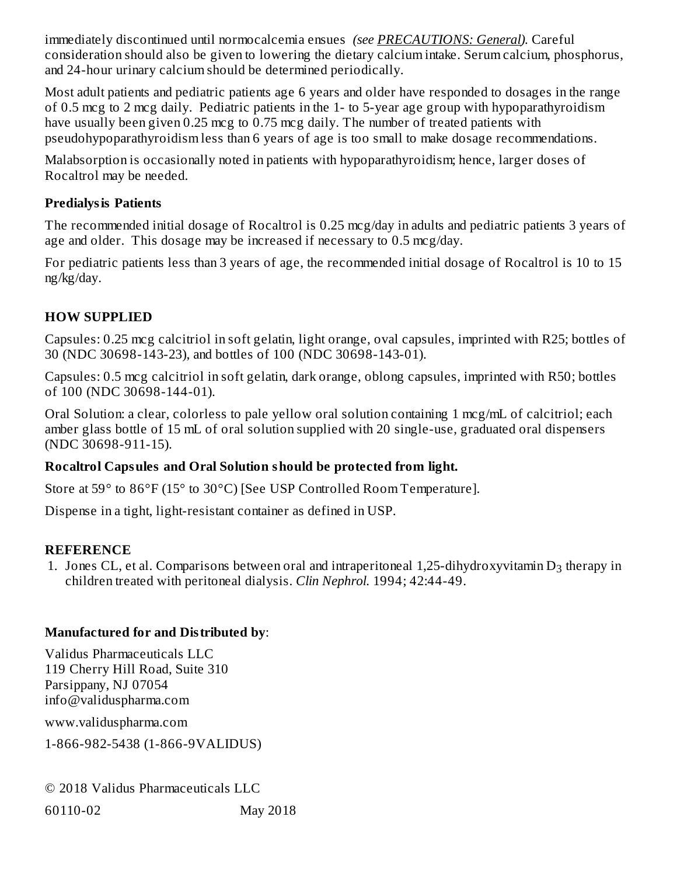immediately discontinued until normocalcemia ensues *(see PRECAUTIONS: General).* Careful consideration should also be given to lowering the dietary calcium intake. Serum calcium, phosphorus, and 24-hour urinary calcium should be determined periodically.

Most adult patients and pediatric patients age 6 years and older have responded to dosages in the range of 0.5 mcg to 2 mcg daily. Pediatric patients in the 1- to 5-year age group with hypoparathyroidism have usually been given 0.25 mcg to 0.75 mcg daily. The number of treated patients with pseudohypoparathyroidism less than 6 years of age is too small to make dosage recommendations.

Malabsorption is occasionally noted in patients with hypoparathyroidism; hence, larger doses of Rocaltrol may be needed.

### **Predialysis Patients**

The recommended initial dosage of Rocaltrol is 0.25 mcg/day in adults and pediatric patients 3 years of age and older. This dosage may be increased if necessary to 0.5 mcg/day.

For pediatric patients less than 3 years of age, the recommended initial dosage of Rocaltrol is 10 to 15 ng/kg/day.

### **HOW SUPPLIED**

Capsules: 0.25 mcg calcitriol in soft gelatin, light orange, oval capsules, imprinted with R25; bottles of 30 (NDC 30698-143-23), and bottles of 100 (NDC 30698-143-01).

Capsules: 0.5 mcg calcitriol in soft gelatin, dark orange, oblong capsules, imprinted with R50; bottles of 100 (NDC 30698-144-01).

Oral Solution: a clear, colorless to pale yellow oral solution containing 1 mcg/mL of calcitriol; each amber glass bottle of 15 mL of oral solution supplied with 20 single-use, graduated oral dispensers (NDC 30698-911-15).

### **Rocaltrol Capsules and Oral Solution should be protected from light.**

Store at 59° to 86°F (15° to 30°C) [See USP Controlled Room Temperature].

Dispense in a tight, light-resistant container as defined in USP.

### **REFERENCE**

1. Jones CL, et al. Comparisons between oral and intraperitoneal 1,25-dihydroxyvitamin  $D_3$  therapy in children treated with peritoneal dialysis. *Clin Nephrol.* 1994; 42:44-49.

### **Manufactured for and Distributed by**:

Validus Pharmaceuticals LLC 119 Cherry Hill Road, Suite 310 Parsippany, NJ 07054 info@validuspharma.com

www.validuspharma.com

1-866-982-5438 (1-866-9VALIDUS)

© 2018 Validus Pharmaceuticals LLC 60110-02 May 2018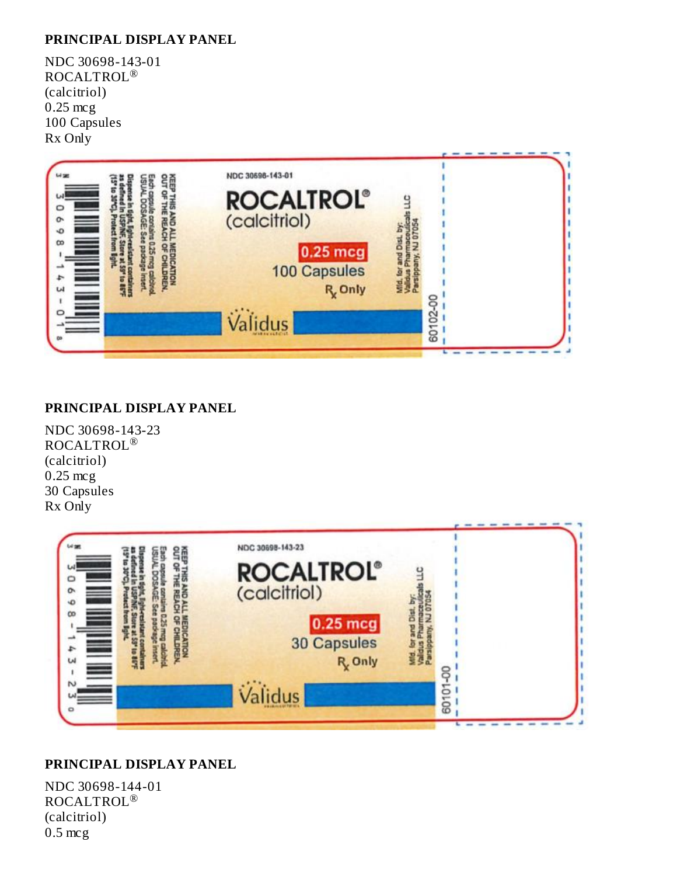#### **PRINCIPAL DISPLAY PANEL**

NDC 30698-143-01 ROCALTROL ® (calcitriol) 0.25 mcg 100 Capsules Rx Only



#### **PRINCIPAL DISPLAY PANEL**

NDC 30698-143-23 ROCALTROL ® (calcitriol) 0.25 mcg 30 Capsules Rx Only



#### **PRINCIPAL DISPLAY PANEL**

NDC 30698-144-01 ROCALTROL ®(calcitriol) 0.5 mcg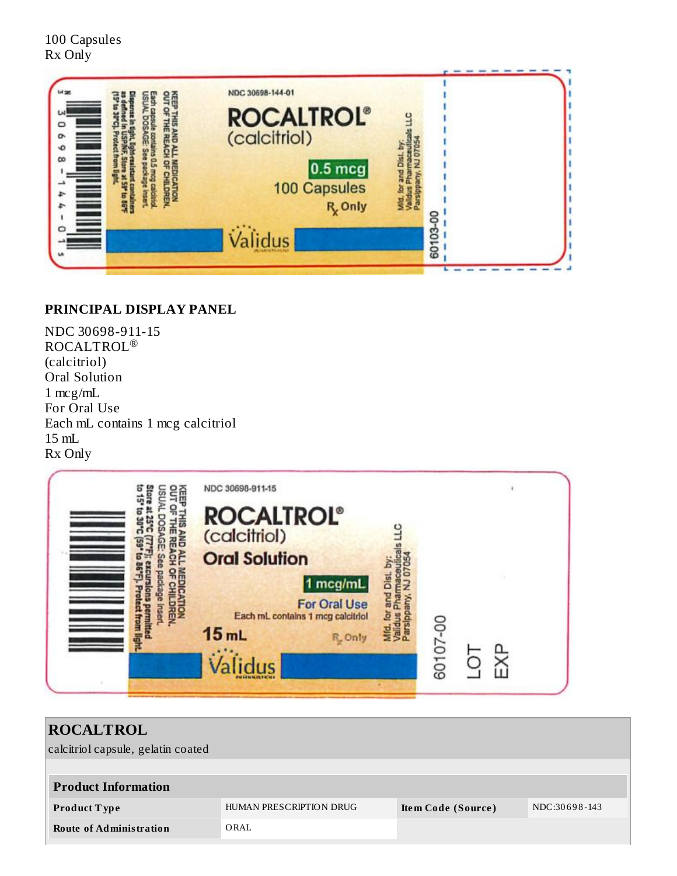100 Capsules Rx Only



#### **PRINCIPAL DISPLAY PANEL**

NDC 30698-911-15 ROCALTROL ®(calcitriol) Oral Solution 1 mcg/mL For Oral Use Each mL contains 1 mcg calcitriol 15 mL Rx Only



| <b>ROCALTROL</b>                   |                         |                    |               |  |  |
|------------------------------------|-------------------------|--------------------|---------------|--|--|
| calcitriol capsule, gelatin coated |                         |                    |               |  |  |
|                                    |                         |                    |               |  |  |
| <b>Product Information</b>         |                         |                    |               |  |  |
| <b>Product Type</b>                | HUMAN PRESCRIPTION DRUG | Item Code (Source) | NDC:30698-143 |  |  |
| <b>Route of Administration</b>     | ORAL                    |                    |               |  |  |
|                                    |                         |                    |               |  |  |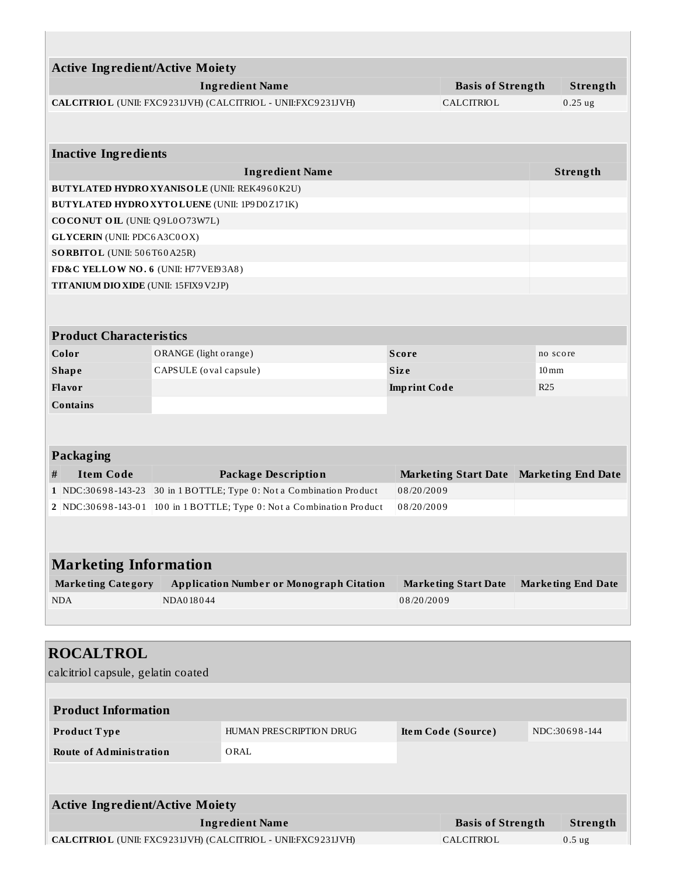| <b>Active Ingredient/Active Moiety</b>                                                 |                        |                                                                       |                     |                                     |            | Strength                  |  |
|----------------------------------------------------------------------------------------|------------------------|-----------------------------------------------------------------------|---------------------|-------------------------------------|------------|---------------------------|--|
| <b>Ingredient Name</b><br>CALCITRIOL (UNII: FXC9231JVH) (CALCITRIOL - UNII:FXC9231JVH) |                        |                                                                       |                     | <b>Basis of Strength</b>            |            | 0.25ug                    |  |
|                                                                                        |                        |                                                                       |                     | CALCITRIOL                          |            |                           |  |
| <b>Inactive Ingredients</b>                                                            |                        |                                                                       |                     |                                     |            |                           |  |
|                                                                                        |                        | <b>Ingredient Name</b>                                                |                     |                                     |            | Strength                  |  |
| BUTYLATED HYDRO XYANISOLE (UNII: REK4960K2U)                                           |                        |                                                                       |                     |                                     |            |                           |  |
| <b>BUTYLATED HYDRO XYTO LUENE (UNII: 1P9D0 Z171K)</b>                                  |                        |                                                                       |                     |                                     |            |                           |  |
| <b>COCONUT OIL (UNII: Q9L0073W7L)</b>                                                  |                        |                                                                       |                     |                                     |            |                           |  |
| <b>GLYCERIN</b> (UNII: PDC6A3C0OX)                                                     |                        |                                                                       |                     |                                     |            |                           |  |
| SORBITOL (UNII: 506T60A25R)                                                            |                        |                                                                       |                     |                                     |            |                           |  |
| FD&C YELLOW NO. 6 (UNII: H77VEI93A8)                                                   |                        |                                                                       |                     |                                     |            |                           |  |
| TITANIUM DIO XIDE (UNII: 15FIX9V2JP)                                                   |                        |                                                                       |                     |                                     |            |                           |  |
|                                                                                        |                        |                                                                       |                     |                                     |            |                           |  |
| <b>Product Characteristics</b>                                                         |                        |                                                                       |                     |                                     |            |                           |  |
| Color                                                                                  | ORANGE (light orange)  |                                                                       | <b>Score</b>        |                                     |            | no score                  |  |
| <b>Shape</b>                                                                           | CAPSULE (oval capsule) |                                                                       | <b>Size</b>         |                                     |            | $10 \,\mathrm{mm}$        |  |
| Flavor                                                                                 |                        |                                                                       | <b>Imprint Code</b> |                                     | <b>R25</b> |                           |  |
| <b>Contains</b>                                                                        |                        |                                                                       |                     |                                     |            |                           |  |
|                                                                                        |                        |                                                                       |                     |                                     |            |                           |  |
| <b>Packaging</b>                                                                       |                        |                                                                       |                     |                                     |            |                           |  |
| <b>Item Code</b><br>#                                                                  |                        | <b>Package Description</b>                                            |                     | <b>Marketing Start Date</b>         |            | <b>Marketing End Date</b> |  |
| $1$ NDC:30698-143-23                                                                   |                        | 30 in 1 BOTTLE; Type 0: Not a Combination Product                     | 08/20/2009          |                                     |            |                           |  |
|                                                                                        |                        | 2 NDC:30698-143-01 100 in 1 BOTTLE; Type 0: Not a Combination Product | 08/20/2009          |                                     |            |                           |  |
|                                                                                        |                        |                                                                       |                     |                                     |            |                           |  |
| <b>Marketing Information</b>                                                           |                        |                                                                       |                     |                                     |            |                           |  |
| <b>Marketing Category</b>                                                              |                        | <b>Application Number or Monograph Citation</b>                       |                     | <b>Marketing Start Date</b>         |            | <b>Marketing End Date</b> |  |
| <b>NDA</b>                                                                             | NDA018044              |                                                                       | 08/20/2009          |                                     |            |                           |  |
|                                                                                        |                        |                                                                       |                     |                                     |            |                           |  |
|                                                                                        |                        |                                                                       |                     |                                     |            |                           |  |
| <b>ROCALTROL</b>                                                                       |                        |                                                                       |                     |                                     |            |                           |  |
| calcitriol capsule, gelatin coated                                                     |                        |                                                                       |                     |                                     |            |                           |  |
|                                                                                        |                        |                                                                       |                     |                                     |            |                           |  |
| <b>Product Information</b>                                                             |                        |                                                                       |                     |                                     |            |                           |  |
| Product Type                                                                           |                        | HUMAN PRESCRIPTION DRUG                                               |                     | NDC:30698-144<br>Item Code (Source) |            |                           |  |
|                                                                                        |                        |                                                                       |                     |                                     |            |                           |  |
| <b>Route of Administration</b>                                                         |                        | ORAL                                                                  |                     |                                     |            |                           |  |
|                                                                                        |                        |                                                                       |                     |                                     |            |                           |  |
| <b>Active Ingredient/Active Moiety</b>                                                 |                        |                                                                       |                     |                                     |            |                           |  |
| <b>Ingredient Name</b>                                                                 |                        |                                                                       |                     | <b>Basis of Strength</b>            |            | Strength                  |  |
| CALCITRIOL (UNII: FXC9231JVH) (CALCITRIOL - UNII:FXC9231JVH)                           |                        |                                                                       |                     | CALCITRIOL                          |            | 0.5 <sub>ug</sub>         |  |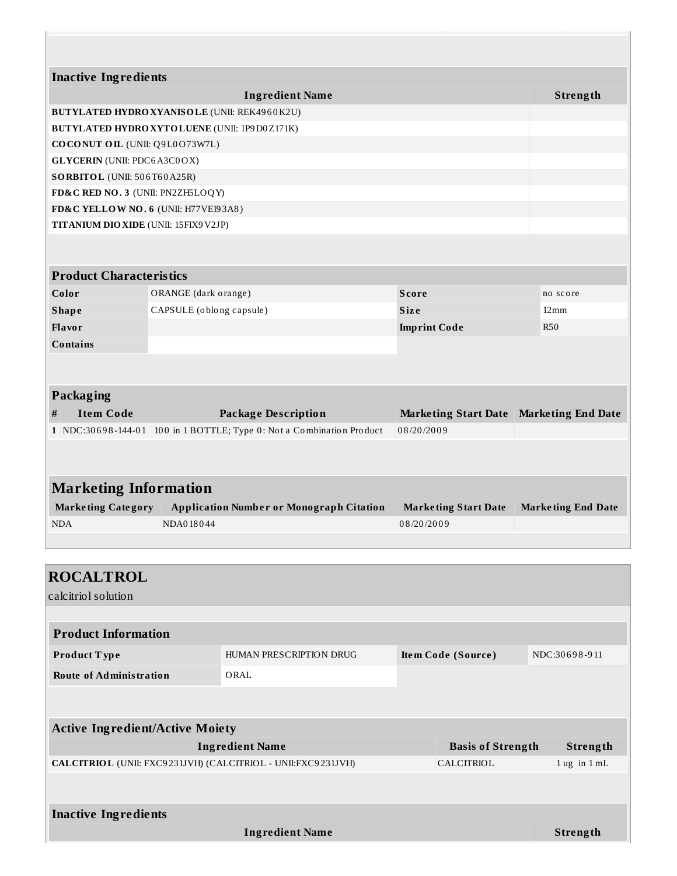| <b>Inactive Ingredients</b>                                             |                          |                                                                       |                     |                             |                           |                           |  |
|-------------------------------------------------------------------------|--------------------------|-----------------------------------------------------------------------|---------------------|-----------------------------|---------------------------|---------------------------|--|
|                                                                         |                          | <b>Ingredient Name</b>                                                |                     |                             |                           | Strength                  |  |
| <b>BUTYLATED HYDRO XYANISOLE (UNII: REK4960K2U)</b>                     |                          |                                                                       |                     |                             |                           |                           |  |
| <b>BUTYLATED HYDRO XYTO LUENE (UNII: 1P9D0 Z171K)</b>                   |                          |                                                                       |                     |                             |                           |                           |  |
| COCONUT OIL (UNII: Q9L0O73W7L)                                          |                          |                                                                       |                     |                             |                           |                           |  |
| <b>GLYCERIN</b> (UNII: PDC6A3C0OX)                                      |                          |                                                                       |                     |                             |                           |                           |  |
| SORBITOL (UNII: 506T60A25R)                                             |                          |                                                                       |                     |                             |                           |                           |  |
| FD&C RED NO. 3 (UNII: PN2ZH5LOQY)                                       |                          |                                                                       |                     |                             |                           |                           |  |
| FD&C YELLOW NO. 6 (UNII: H77VEI93A8)                                    |                          |                                                                       |                     |                             |                           |                           |  |
| <b>TITANIUM DIO XIDE</b> (UNII: 15FIX9V2JP)                             |                          |                                                                       |                     |                             |                           |                           |  |
|                                                                         |                          |                                                                       |                     |                             |                           |                           |  |
| <b>Product Characteristics</b>                                          |                          |                                                                       |                     |                             |                           |                           |  |
| Color                                                                   | ORANGE (dark orange)     |                                                                       | <b>Score</b>        |                             | no score                  |                           |  |
| <b>Shape</b>                                                            | CAPSULE (oblong capsule) |                                                                       | <b>Size</b>         |                             |                           | $12 \,\mathrm{mm}$        |  |
| Flavor                                                                  |                          |                                                                       | <b>Imprint Code</b> |                             |                           | <b>R50</b>                |  |
| <b>Contains</b>                                                         |                          |                                                                       |                     |                             |                           |                           |  |
|                                                                         |                          |                                                                       |                     |                             |                           |                           |  |
| <b>Packaging</b>                                                        |                          |                                                                       |                     |                             |                           |                           |  |
| <b>Item Code</b><br>#                                                   |                          | <b>Package Description</b><br><b>Marketing Start Date</b>             |                     |                             | <b>Marketing End Date</b> |                           |  |
|                                                                         |                          | 1 NDC:30698-144-01 100 in 1 BOTTLE; Type 0: Not a Combination Product | 08/20/2009          |                             |                           |                           |  |
| <b>Marketing Information</b><br><b>Marketing Category</b><br><b>NDA</b> | NDA018044                | <b>Application Number or Monograph Citation</b>                       | 08/20/2009          | <b>Marketing Start Date</b> |                           | <b>Marketing End Date</b> |  |
| <b>ROCALTROL</b><br>calcitriol solution                                 |                          |                                                                       |                     |                             |                           |                           |  |
| <b>Product Information</b>                                              |                          |                                                                       |                     |                             |                           |                           |  |
| Product Type                                                            |                          | HUMAN PRESCRIPTION DRUG                                               |                     | Item Code (Source)          |                           | NDC:30698-911             |  |
|                                                                         |                          |                                                                       |                     |                             |                           |                           |  |
| <b>Route of Administration</b>                                          |                          | ORAL                                                                  |                     |                             |                           |                           |  |
| <b>Active Ingredient/Active Moiety</b>                                  |                          |                                                                       |                     |                             |                           |                           |  |
| <b>Ingredient Name</b>                                                  |                          | <b>Basis of Strength</b>                                              |                     | Strength                    |                           |                           |  |
| CALCITRIOL (UNII: FXC9231JVH) (CALCITRIOL - UNII:FXC9231JVH)            |                          |                                                                       |                     | CALCITRIOL                  |                           | $1$ ug in $1$ mL          |  |
|                                                                         |                          |                                                                       |                     |                             |                           |                           |  |
| <b>Inactive Ingredients</b>                                             |                          |                                                                       |                     |                             |                           |                           |  |

**Ingredient Name Strength**